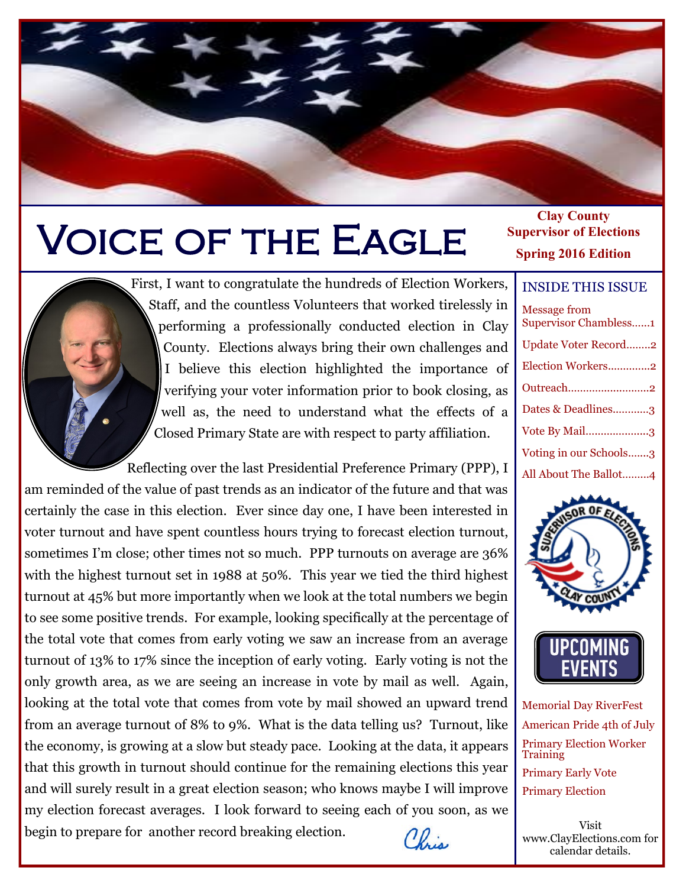# Voice of the Eagle

First, I want to congratulate the hundreds of Election Workers, Staff, and the countless Volunteers that worked tirelessly in performing a professionally conducted election in Clay County. Elections always bring their own challenges and I believe this election highlighted the importance of verifying your voter information prior to book closing, as well as, the need to understand what the effects of a Closed Primary State are with respect to party affiliation.

 Reflecting over the last Presidential Preference Primary (PPP), I am reminded of the value of past trends as an indicator of the future and that was certainly the case in this election. Ever since day one, I have been interested in voter turnout and have spent countless hours trying to forecast election turnout, sometimes I'm close; other times not so much. PPP turnouts on average are 36% with the highest turnout set in 1988 at 50%. This year we tied the third highest turnout at 45% but more importantly when we look at the total numbers we begin to see some positive trends. For example, looking specifically at the percentage of the total vote that comes from early voting we saw an increase from an average turnout of 13% to 17% since the inception of early voting. Early voting is not the only growth area, as we are seeing an increase in vote by mail as well. Again, looking at the total vote that comes from vote by mail showed an upward trend from an average turnout of 8% to 9%. What is the data telling us? Turnout, like the economy, is growing at a slow but steady pace. Looking at the data, it appears that this growth in turnout should continue for the remaining elections this year and will surely result in a great election season; who knows maybe I will improve my election forecast averages. I look forward to seeing each of you soon, as we begin to prepare for another record breaking election. Chris

#### **Clay County Supervisor of Elections Spring 2016 Edition**

#### INSIDE THIS ISSUE

| <b>Message from</b><br><b>Supervisor Chambless1</b> |
|-----------------------------------------------------|
| <b>Update Voter Record2</b>                         |
| Election Workers2                                   |
| Outreach2                                           |
| Dates & Deadlines3                                  |
| Vote By Mail3                                       |
| Voting in our Schools3                              |
| All About The Ballot4                               |
|                                                     |



Memorial Day RiverFest American Pride 4th of July Primary Election Worker **Training** Primary Early Vote Primary Election

Visit www.ClayElections.com for calendar details.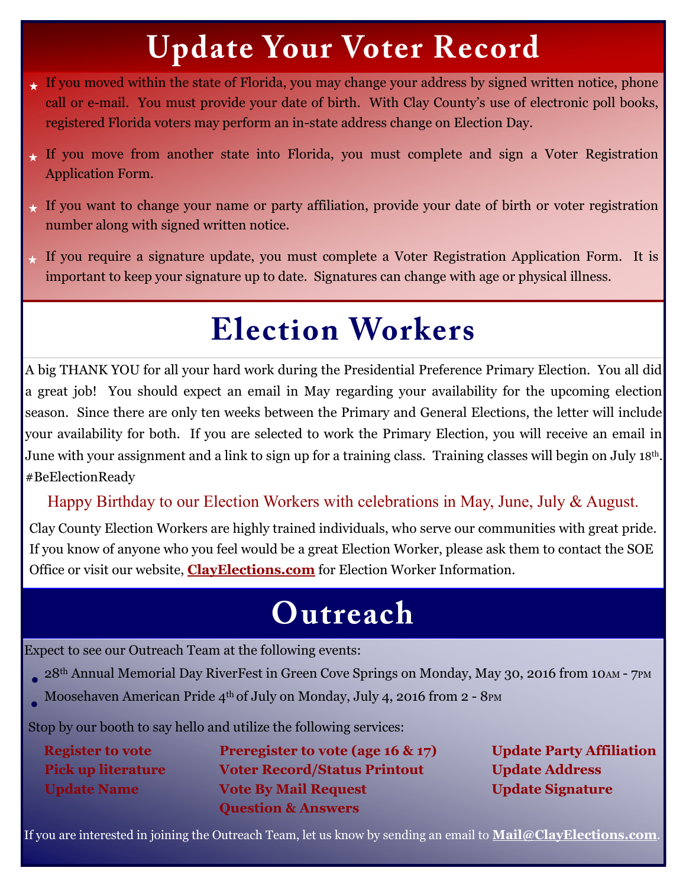## **Update Your Voter Record**

- If you moved within the state of Florida, you may change your address by signed written notice, phone call or e-mail. You must provide your date of birth. With Clay County's use of electronic poll books, registered Florida voters may perform an in-state address change on Election Day.
- If you move from another state into Florida, you must complete and sign a Voter Registration Application Form.
- If you want to change your name or party affiliation, provide your date of birth or voter registration number along with signed written notice.
- If you require a signature update, you must complete a Voter Registration Application Form. It is important to keep your signature up to date. Signatures can change with age or physical illness.

## **Election Workers**

A big THANK YOU for all your hard work during the Presidential Preference Primary Election. You all did a great job! You should expect an email in May regarding your availability for the upcoming election season. Since there are only ten weeks between the Primary and General Elections, the letter will include your availability for both. If you are selected to work the Primary Election, you will receive an email in June with your assignment and a link to sign up for a training class. Training classes will begin on July 18<sup>th</sup>. #BeElectionReady

Happy Birthday to our Election Workers with celebrations in May, June, July & August.

Clay County Election Workers are highly trained individuals, who serve our communities with great pride. If you know of anyone who you feel would be a great Election Worker, please ask them to contact the SOE Office or visit our website, **[ClayElections.com](http://www.clayelections.com/Election-Workers/Becoming-a-Poll-Worker)** for Election Worker Information.

### Outreach

Expect to see our Outreach Team at the following events:

- 28<sup>th</sup> Annual Memorial Day RiverFest in Green Cove Springs on Monday, May 30, 2016 from 10AM 7PM
- Moosehaven American Pride 4<sup>th</sup> of July on Monday, July 4, 2016 from 2 8PM

Stop by our booth to say hello and utilize the following services:

| <b>Register to vote</b>   | Preregister to vote (age 16 $\&$ 17) | <b>Update Party Affiliation</b> |
|---------------------------|--------------------------------------|---------------------------------|
| <b>Pick up literature</b> | <b>Voter Record/Status Printout</b>  | <b>Update Address</b>           |
| <b>Update Name</b>        | <b>Vote By Mail Request</b>          | <b>Update Signature</b>         |
|                           | <b>Question &amp; Answers</b>        |                                 |

If you are interested in joining the Outreach Team, let us know by sending an email to **[Mail@ClayElections.com](mailto:Mail@ClayElections.com)**.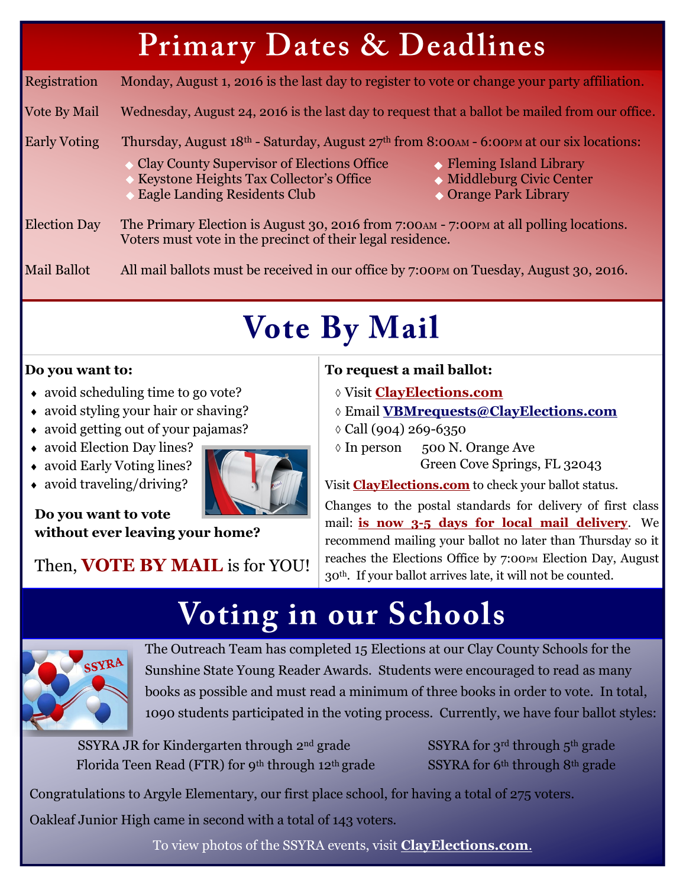## **Primary Dates & Deadlines**

Registration Monday, August 1, 2016 is the last day to register to vote or change your party affiliation.

Vote By Mail Wednesday, August 24, 2016 is the last day to request that a ballot be mailed from our office.

### Early Voting Thursday, August  $18<sup>th</sup>$  - Saturday, August  $27<sup>th</sup>$  from 8:00AM - 6:00PM at our six locations:

- Clay County Supervisor of Elections Office Reming Island Library
- Keystone Heights Tax Collector's Office Middleburg Civic Center
- Eagle Landing Residents Club Club Corange Park Library
- 
- 
- 

Election Day The Primary Election is August 30, 2016 from 7:00 AM - 7:00 PM at all polling locations. Voters must vote in the precinct of their legal residence.

Mail Ballot All mail ballots must be received in our office by 7:00PM on Tuesday, August 30, 2016.

## **Vote By Mail**

### **Do you want to:**

- avoid scheduling time to go vote?
- avoid styling your hair or shaving?
- avoid getting out of your pajamas?
- avoid Election Day lines?
- avoid Early Voting lines?
- avoid traveling/driving?



**Do you want to vote without ever leaving your home?**

Then, **VOTE BY MAIL** is for YOU!

### **To request a mail ballot:**

- Visit **[ClayElections.com](http://www.clayelections.com/Voters/Request-a-Mail-Absentee-Ballot)**
- Email **[VBMrequests@ClayElections.com](mailto:VBMrequests@ClayElections.com)**
- Call (904) 269-6350
- In person 500 N. Orange Ave Green Cove Springs, FL 32043

Visit **[ClayElections.com](http://www.clayelections.com/Voters/My-Registration-Status)** to check your ballot status.

Changes to the postal standards for delivery of first class mail: **is now 3-5 days for local mail delivery**. We recommend mailing your ballot no later than Thursday so it reaches the Elections Office by 7:00PM Election Day, August 30th. If your ballot arrives late, it will not be counted.

### **Voting in our Schools**



The Outreach Team has completed 15 Elections at our Clay County Schools for the Sunshine State Young Reader Awards. Students were encouraged to read as many books as possible and must read a minimum of three books in order to vote. In total, 1090 students participated in the voting process. Currently, we have four ballot styles:

SSYRA JR for Kindergarten through  $2^{nd}$  grade SSYRA for  $3^{rd}$  through  $5^{th}$  grade Florida Teen Read (FTR) for 9<sup>th</sup> through 12<sup>th</sup> grade SSYRA for 6<sup>th</sup> through 8<sup>th</sup> grade

Congratulations to Argyle Elementary, our first place school, for having a total of 275 voters.

Oakleaf Junior High came in second with a total of 143 voters.

To view photos of the SSYRA events, visit **[ClayElections.com](https://www.flickr.com/photos/clayelections/albums/72157667405055275)**.